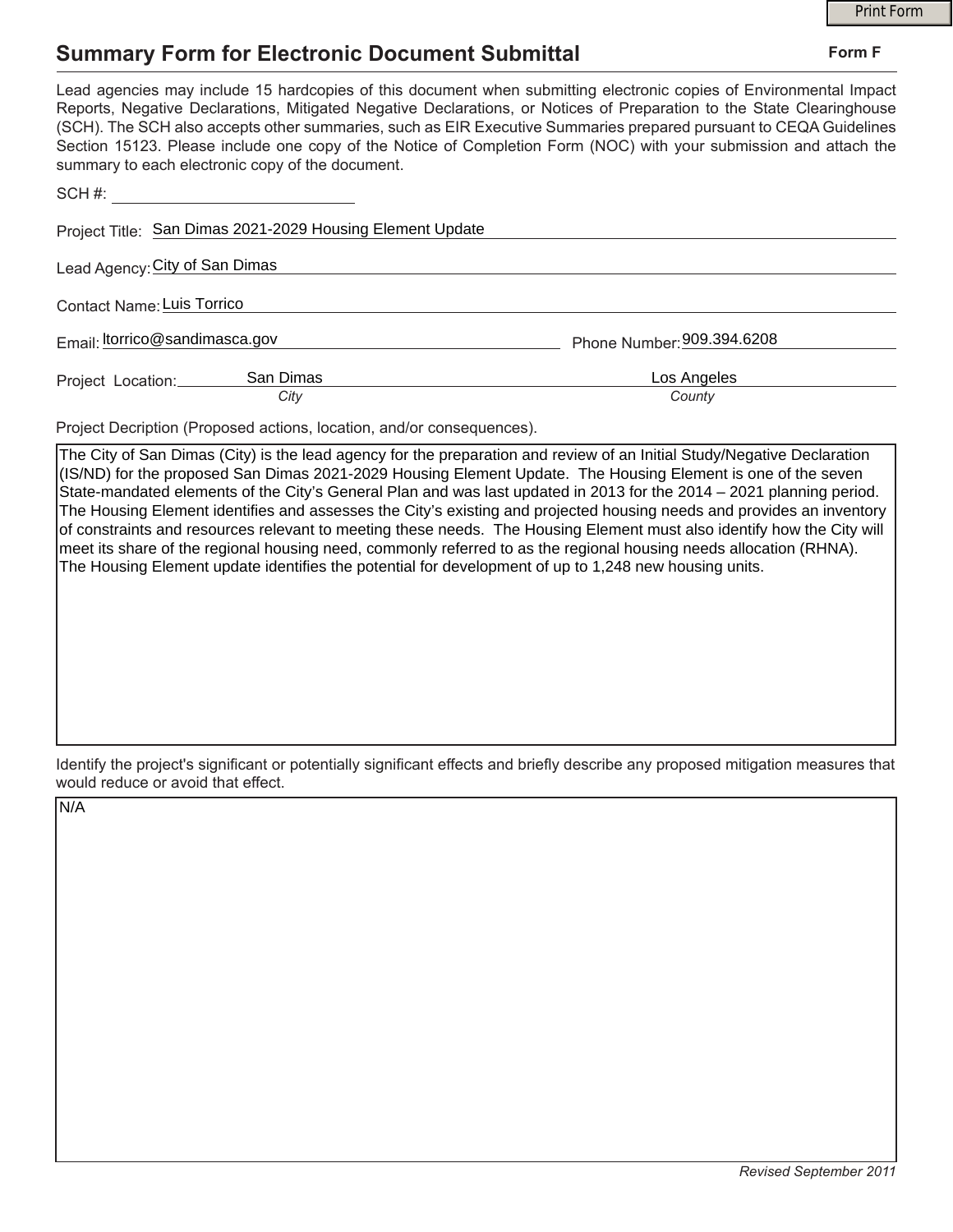## **Summary Form for Electronic Document Submittal**

|                                                                                                                                                                                                                                                                                                                                                                                                                                                                                                                                           |                            | <b>Print Form</b> |  |
|-------------------------------------------------------------------------------------------------------------------------------------------------------------------------------------------------------------------------------------------------------------------------------------------------------------------------------------------------------------------------------------------------------------------------------------------------------------------------------------------------------------------------------------------|----------------------------|-------------------|--|
| <b>Summary Form for Electronic Document Submittal</b>                                                                                                                                                                                                                                                                                                                                                                                                                                                                                     |                            | Form F            |  |
| Lead agencies may include 15 hardcopies of this document when submitting electronic copies of Environmental Impact<br>Reports, Negative Declarations, Mitigated Negative Declarations, or Notices of Preparation to the State Clearinghouse<br>(SCH). The SCH also accepts other summaries, such as EIR Executive Summaries prepared pursuant to CEQA Guidelines<br>Section 15123. Please include one copy of the Notice of Completion Form (NOC) with your submission and attach the<br>summary to each electronic copy of the document. |                            |                   |  |
| SCH #: _________________________________                                                                                                                                                                                                                                                                                                                                                                                                                                                                                                  |                            |                   |  |
| Project Title: San Dimas 2021-2029 Housing Element Update                                                                                                                                                                                                                                                                                                                                                                                                                                                                                 |                            |                   |  |
| Lead Agency: City of San Dimas                                                                                                                                                                                                                                                                                                                                                                                                                                                                                                            |                            |                   |  |
| <b>Contact Name: Luis Torrico</b>                                                                                                                                                                                                                                                                                                                                                                                                                                                                                                         |                            |                   |  |
| Email: <i>Itorrico@sandimasca.gov</i>                                                                                                                                                                                                                                                                                                                                                                                                                                                                                                     | Phone Number: 909.394.6208 |                   |  |
| San Dimas<br>Project Location:<br>City                                                                                                                                                                                                                                                                                                                                                                                                                                                                                                    | Los Angeles<br>County      |                   |  |

Project Decription (Proposed actions, location, and/or consequences).

The City of San Dimas (City) is the lead agency for the preparation and review of an Initial Study/Negative Declaration (IS/ND) for the proposed San Dimas 2021-2029 Housing Element Update. The Housing Element is one of the seven State-mandated elements of the City's General Plan and was last updated in 2013 for the 2014 – 2021 planning period. The Housing Element identifies and assesses the City's existing and projected housing needs and provides an inventory of constraints and resources relevant to meeting these needs. The Housing Element must also identify how the City will meet its share of the regional housing need, commonly referred to as the regional housing needs allocation (RHNA). The Housing Element update identifies the potential for development of up to 1,248 new housing units.

Identify the project's significant or potentially significant effects and briefly describe any proposed mitigation measures that would reduce or avoid that effect.

N/A

## **Form F**